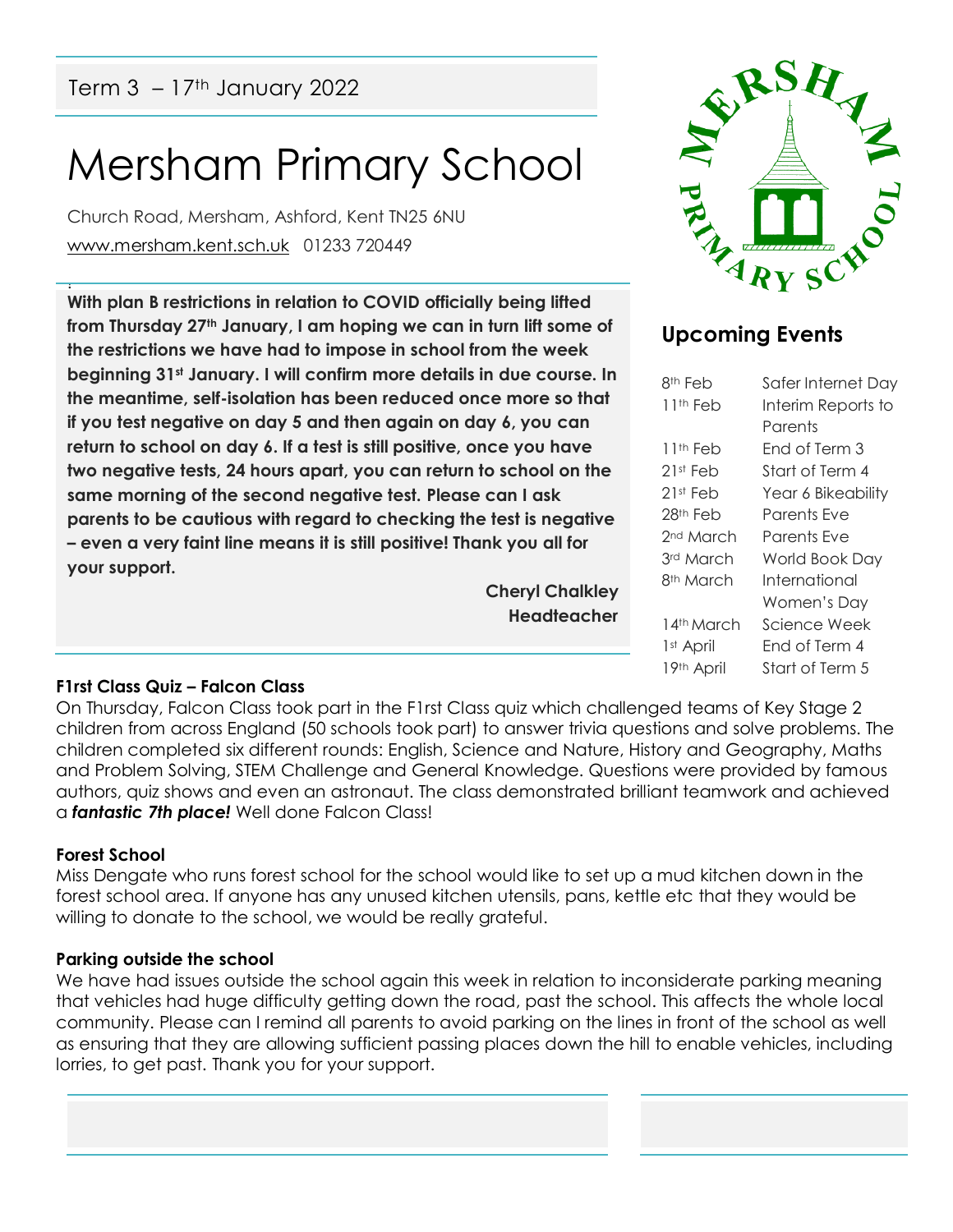# Mersham Primary School

Church Road, Mersham, Ashford, Kent TN25 6NU [www.mersham.kent.sch.uk](http://www.mersham.kent.sch.uk/) 01233 720449

! **With plan B restrictions in relation to COVID officially being lifted from Thursday 27th January, I am hoping we can in turn lift some of the restrictions we have had to impose in school from the week beginning 31st January. I will confirm more details in due course. In the meantime, self-isolation has been reduced once more so that if you test negative on day 5 and then again on day 6, you can return to school on day 6. If a test is still positive, once you have two negative tests, 24 hours apart, you can return to school on the same morning of the second negative test. Please can I ask parents to be cautious with regard to checking the test is negative – even a very faint line means it is still positive! Thank you all for your support.** 

> **Cheryl Chalkley Headteacher**



## **Upcoming Events**

| 8th Feb                | Safer Internet Day |
|------------------------|--------------------|
| 11th Feb               | Interim Reports to |
|                        | Parents            |
| 11th Feb               | End of Term 3      |
| 21st Feb               | Start of Term 4    |
| 21st Feb               | Year 6 Bikeability |
| 28th Feb               | Parents Fve        |
| 2 <sup>nd</sup> March  | Parents Fve        |
| 3rd March              | World Book Day     |
| 8 <sup>th</sup> March  | International      |
|                        | Women's Day        |
| 14th March             | Science Week       |
| 1 <sup>st</sup> April  | Fnd of Term 4      |
| 19 <sup>th</sup> April | Start of Term 5    |

#### **F1rst Class Quiz – Falcon Class**

On Thursday, Falcon Class took part in the F1rst Class quiz which challenged teams of Key Stage 2 children from across England (50 schools took part) to answer trivia questions and solve problems. The children completed six different rounds: English, Science and Nature, History and Geography, Maths and Problem Solving, STEM Challenge and General Knowledge. Questions were provided by famous authors, quiz shows and even an astronaut. The class demonstrated brilliant teamwork and achieved a *fantastic 7th place!* Well done Falcon Class!

#### **Forest School**

Miss Dengate who runs forest school for the school would like to set up a mud kitchen down in the forest school area. If anyone has any unused kitchen utensils, pans, kettle etc that they would be willing to donate to the school, we would be really grateful.

#### **Parking outside the school**

We have had issues outside the school again this week in relation to inconsiderate parking meaning that vehicles had huge difficulty getting down the road, past the school. This affects the whole local community. Please can I remind all parents to avoid parking on the lines in front of the school as well as ensuring that they are allowing sufficient passing places down the hill to enable vehicles, including lorries, to get past. Thank you for your support.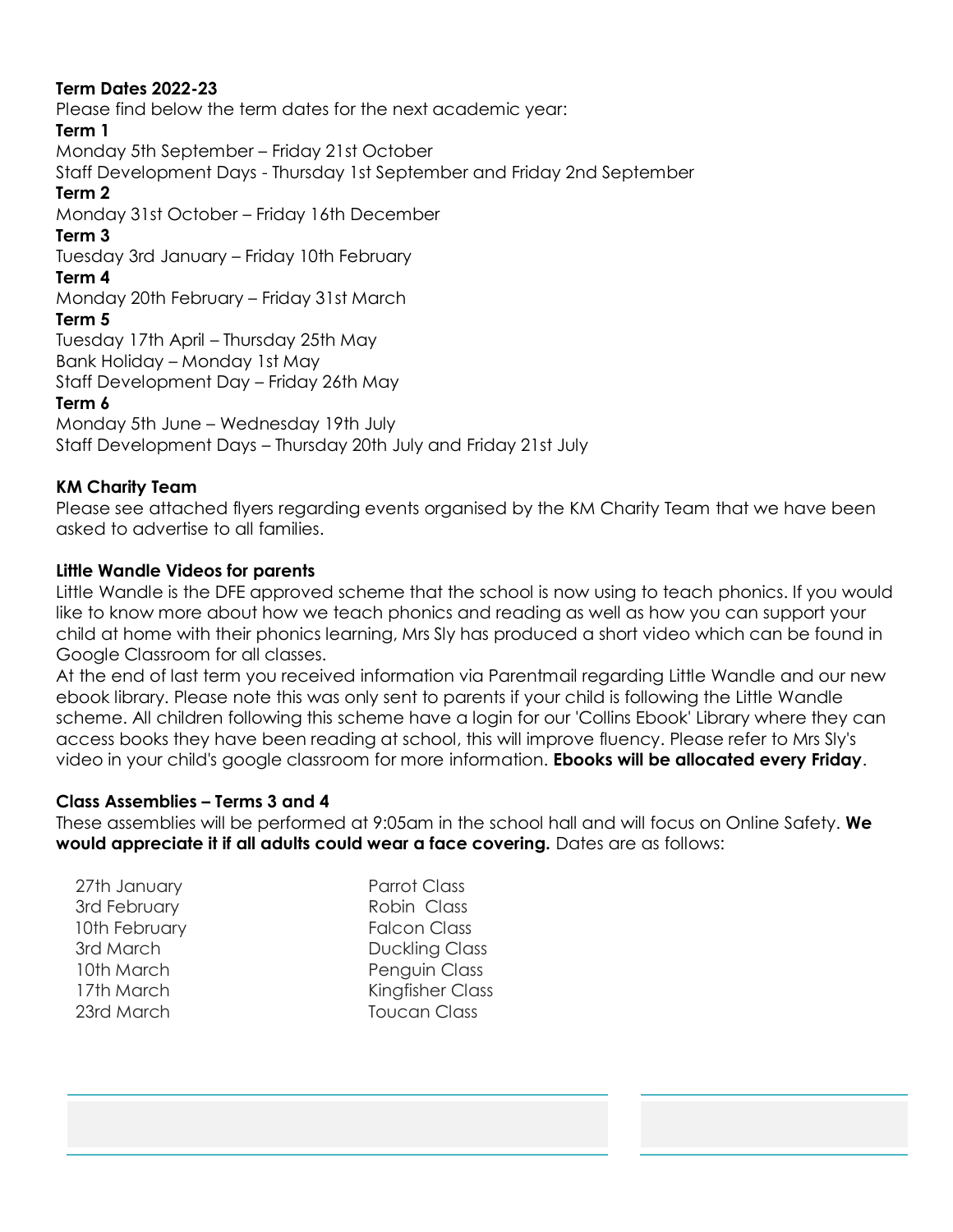#### **Term Dates 2022-23**

Please find below the term dates for the next academic year:

#### **Term 1**

Monday 5th September – Friday 21st October

Staff Development Days - Thursday 1st September and Friday 2nd September

#### **Term 2**

Monday 31st October – Friday 16th December

#### **Term 3**

Tuesday 3rd January – Friday 10th February

#### **Term 4**

Monday 20th February – Friday 31st March

#### **Term 5**

Tuesday 17th April – Thursday 25th May Bank Holiday – Monday 1st May

Staff Development Day – Friday 26th May

#### **Term 6**

Monday 5th June – Wednesday 19th July Staff Development Days – Thursday 20th July and Friday 21st July

#### **KM Charity Team**

Please see attached flyers regarding events organised by the KM Charity Team that we have been asked to advertise to all families.

#### **Little Wandle Videos for parents**

Little Wandle is the DFE approved scheme that the school is now using to teach phonics. If you would like to know more about how we teach phonics and reading as well as how you can support your child at home with their phonics learning, Mrs Sly has produced a short video which can be found in Google Classroom for all classes.

At the end of last term you received information via Parentmail regarding Little Wandle and our new ebook library. Please note this was only sent to parents if your child is following the Little Wandle scheme. All children following this scheme have a login for our 'Collins Ebook' Library where they can access books they have been reading at school, this will improve fluency. Please refer to Mrs Sly's video in your child's google classroom for more information. **Ebooks will be allocated every Friday**.

#### **Class Assemblies – Terms 3 and 4**

These assemblies will be performed at 9:05am in the school hall and will focus on Online Safety. **We would appreciate it if all adults could wear a face covering.** Dates are as follows:

| 27th January  |
|---------------|
| 3rd February  |
| 10th February |
| 3rd March     |
| 10th March    |
| 17th March    |
| 23rd March    |
|               |

Parrot Class Robin Class **Falcon Class Duckling Class** Penguin Class Kingfisher Class Toucan Class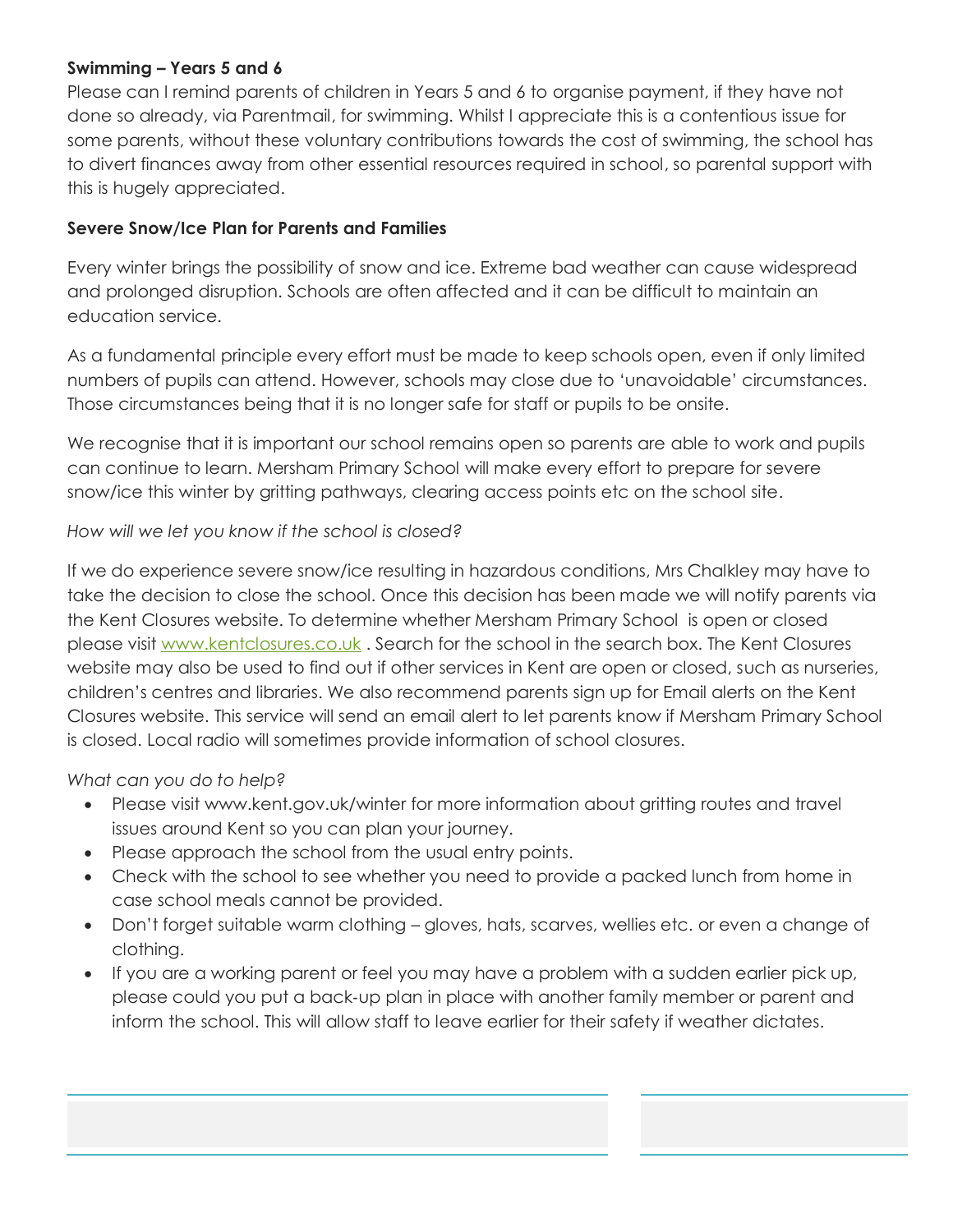#### **Swimming – Years 5 and 6**

Please can I remind parents of children in Years 5 and 6 to organise payment, if they have not done so already, via Parentmail, for swimming. Whilst I appreciate this is a contentious issue for some parents, without these voluntary contributions towards the cost of swimming, the school has to divert finances away from other essential resources required in school, so parental support with this is hugely appreciated.

#### **Severe Snow/Ice Plan for Parents and Families**

Every winter brings the possibility of snow and ice. Extreme bad weather can cause widespread and prolonged disruption. Schools are often affected and it can be difficult to maintain an education service.

As a fundamental principle every effort must be made to keep schools open, even if only limited numbers of pupils can attend. However, schools may close due to 'unavoidable' circumstances. Those circumstances being that it is no longer safe for staff or pupils to be onsite.

We recognise that it is important our school remains open so parents are able to work and pupils can continue to learn. Mersham Primary School will make every effort to prepare for severe snow/ice this winter by gritting pathways, clearing access points etc on the school site.

#### *How will we let you know if the school is closed?*

If we do experience severe snow/ice resulting in hazardous conditions, Mrs Chalkley may have to take the decision to close the school. Once this decision has been made we will notify parents via the Kent Closures website. To determine whether Mersham Primary School is open or closed please visit [www.kentclosures.co.uk](http://www.kentclosures.co.uk/) . Search for the school in the search box. The Kent Closures website may also be used to find out if other services in Kent are open or closed, such as nurseries, children's centres and libraries. We also recommend parents sign up for Email alerts on the Kent Closures website. This service will send an email alert to let parents know if Mersham Primary School is closed. Local radio will sometimes provide information of school closures.

#### *What can you do to help?*

- Please visit www.kent.gov.uk/winter for more information about gritting routes and travel issues around Kent so you can plan your journey.
- Please approach the school from the usual entry points.
- Check with the school to see whether you need to provide a packed lunch from home in case school meals cannot be provided.
- Don't forget suitable warm clothing gloves, hats, scarves, wellies etc. or even a change of clothing.
- If you are a working parent or feel you may have a problem with a sudden earlier pick up, please could you put a back‐up plan in place with another family member or parent and inform the school. This will allow staff to leave earlier for their safety if weather dictates.